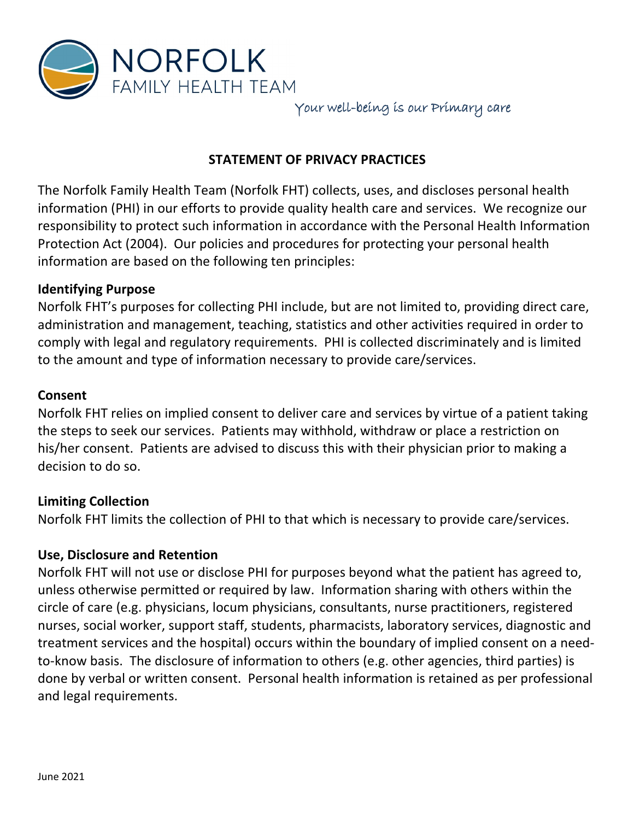

Your well-being is our Primary care

# **STATEMENT OF PRIVACY PRACTICES**

The Norfolk Family Health Team (Norfolk FHT) collects, uses, and discloses personal health information (PHI) in our efforts to provide quality health care and services. We recognize our responsibility to protect such information in accordance with the Personal Health Information Protection Act (2004). Our policies and procedures for protecting your personal health information are based on the following ten principles:

### **Identifying Purpose**

Norfolk FHT's purposes for collecting PHI include, but are not limited to, providing direct care, administration and management, teaching, statistics and other activities required in order to comply with legal and regulatory requirements. PHI is collected discriminately and is limited to the amount and type of information necessary to provide care/services.

### **Consent**

Norfolk FHT relies on implied consent to deliver care and services by virtue of a patient taking the steps to seek our services. Patients may withhold, withdraw or place a restriction on his/her consent. Patients are advised to discuss this with their physician prior to making a decision to do so.

# **Limiting Collection**

Norfolk FHT limits the collection of PHI to that which is necessary to provide care/services.

# **Use, Disclosure and Retention**

Norfolk FHT will not use or disclose PHI for purposes beyond what the patient has agreed to, unless otherwise permitted or required by law. Information sharing with others within the circle of care (e.g. physicians, locum physicians, consultants, nurse practitioners, registered nurses, social worker, support staff, students, pharmacists, laboratory services, diagnostic and treatment services and the hospital) occurs within the boundary of implied consent on a needto-know basis. The disclosure of information to others (e.g. other agencies, third parties) is done by verbal or written consent. Personal health information is retained as per professional and legal requirements.